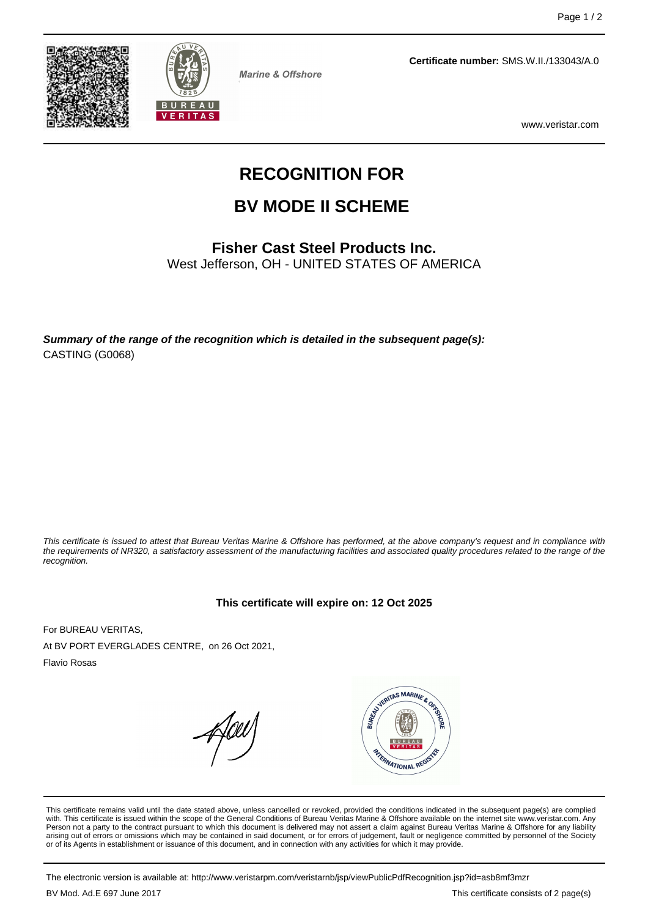



**Marine & Offshore** 

**Certificate number:** SMS.W.II./133043/A.0

www.veristar.com

# **RECOGNITION FOR**

# **BV MODE II SCHEME**

## **Fisher Cast Steel Products Inc.**

West Jefferson, OH - UNITED STATES OF AMERICA

**Summary of the range of the recognition which is detailed in the subsequent page(s):** CASTING (G0068)

This certificate is issued to attest that Bureau Veritas Marine & Offshore has performed, at the above company's request and in compliance with the requirements of NR320, a satisfactory assessment of the manufacturing facilities and associated quality procedures related to the range of the recognition.

#### **This certificate will expire on: 12 Oct 2025**

For BUREAU VERITAS, At BV PORT EVERGLADES CENTRE, on 26 Oct 2021,

Flavio Rosas



This certificate remains valid until the date stated above, unless cancelled or revoked, provided the conditions indicated in the subsequent page(s) are complied with. This certificate is issued within the scope of the General Conditions of Bureau Veritas Marine & Offshore available on the internet site www.veristar.com. Any Person not a party to the contract pursuant to which this document is delivered may not assert a claim against Bureau Veritas Marine & Offshore for any liability arising out of errors or omissions which may be contained in said document, or for errors of judgement, fault or negligence committed by personnel of the Society<br>or of its Agents in establishment or issuance of this docume

The electronic version is available at: http://www.veristarpm.com/veristarnb/jsp/viewPublicPdfRecognition.jsp?id=asb8mf3mzr